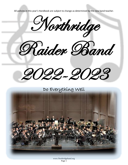All policies in this year's Handbook are subject to change as determined by the new band teacher.

Northridge Raider Band 2022-2023

Do Everything Well



www.Northridgeband.org Page 1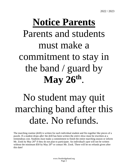# **Notice Parents** Parents and students must make a commitment to stay in the band / guard by **May 26th** .

## No student may quit marching band after this date. No refunds.

The marching routine (drill) is written for each individual student and fits together like pieces of a puzzle. If a student drops *after* the drill has been written the *entire show* must be rewritten at a tremendous cost. Students *must* make a commitment to finish the entire marching season or inform Mr. Zook by May 26<sup>th</sup> if they do not plan to participate. An individual's spot will not be written without the minimum \$50 by May  $26<sup>th</sup>$  or contact Mr. Zook. There will be no refunds given after this date!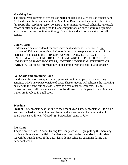#### **Marching Band**

The school year consists of 9 weeks of marching band and 27 weeks of concert band. All band students are members of the Marching Band unless they are involved in a fall sport. The marching season consists of the summer rehearsal schedule, rehearsals before or after school during the fall, and competitions on each Saturday beginning after Labor Day and continuing through State Finals, & all home varsity football games.

#### **Color Guard**

Uniforms are custom ordered for each individual and cannot be returned. Full payment of \$50 *must* be received before ordering can take place on May 26<sup>th</sup>. Sorry, there can be no exceptions. THIS \$50 PAYMENT ONLY SECURES THAT A UNIFORM WILL BE ORDERED. UNIFORMS ARE THE PROPERTY OF THE NORTHRIDGE BAND BOOSTERS, NOT THE INDIVIDUAL STUDENTS OR PARENTS. Additional information will be coming from the color guard director.

#### **Fall Sports and Marching Band**

Band students who participate in fall sports will not participate in the marching activities which take place outside of class. These students will rehearse the marching music with the band during class & may be given other assignments. Due to numerous time conflicts, students will not be allowed to participate in marching band if they are involved in a fall sport.

#### **Schedule**

**Spring:** 4-5 rehearsals near the end of the school year.These rehearsals will focus on learning the basics of marching and learning the show music. Percussion & color guard have an additional "Guard" & "Percussion" camp in July.

#### **Pre-Camp**

4 days from 7:30am-12 noon. During Pre-Camp we will begin putting the marching routine with music on the field. The first song needs to be memorized by this date. We will be outside most of the day. Please do not schedule vacations during this important week.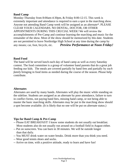#### **Band Camp**

Monday-Thursday from 8:00am-4:30pm, & Friday 8:00-12:15. This week is extremely important and attendance is required to earn a spot in the marching show. Anyone not attending Band Camp week will be assigned as an alternate\*. PLEASE CLEAR YOUR CALENDARS. NO DENTAL, DOCTOR, OR OTHER APPOINTMENTS DURING THIS CRUCIAL WEEK! We will review the accomplishments of Pre-Camp and continue learning the marching and music for the remainder of the show. Most of the show should be memorized by this date. Students are not permitted to leave Northridge High School at any time during the camp by any means; car, foot, bicycle, etc. *Preview Performance at Noon Friday!*

#### **Band Food**

The band will be served lunch each day of band camp as well as every Saturday contest. The food committee is a group of volunteer band parents that do a great job feeding our kids. The meals are covered partially by band fees and partially by *each family* bringing in food items as needed during the course of the season. Please help contribute.

#### **Alternates**

Alternates are used by many bands. Alternates will play the music while standing on the sideline. Students are assigned as an alternate by poor attendance, failure to turn in conflict forms, not paying band fees, missing band camp, or not being able to master the basic marching skills. Alternates may be put in the marching show should a spot become available. (It is likely that no one will be put on alternate status.)

#### **Tips for Band Camp & Pre-Camp**

- -- Please EAT BREAKFAST! I know some students do not usually eat breakfast. Most students also do not usually run around on a football field in August either.
- -- Put on sunscreen. You can burn in 30 minutes. We will be outside longer than that daily.
- -- You MUST drink water on water breaks. Drink more than you think you need.
- -- Wear good tennis shoes and socks.
- -- Arrive on time, with a positive attitude, ready to learn and have fun!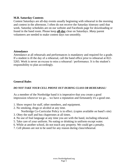#### **M.B. Saturday Contests**

Contest Saturdays are all-day events usually beginning with rehearsal in the morning and contest in the afternoon. I often do not receive the Saturday itinerary until that week. Saturday schedules are on our website and Facebook page for downloading or found in the band room. Please keep **all-day** clear on Saturdays. *Many* parent volunteers are needed to make contest days run smoothly.

#### **Attendance**

Attendance at all rehearsals and performances is mandatory and required for a grade. If a student is ill the day of a rehearsal, call the band office prior to rehearsal at 822- 5265. Work is never an excuse to miss a rehearsal / performance. It is the student's responsibility to plan accordingly.

#### **General Rules**

#### *DO NOT TAKE YOUR CELL PHONE OUT DURING CLASS OR REHEARSAL!*

As a member of the Northridge band it is imperative that you create a good impression wherever we go… we have a reputation and fortunately it's a good one.

- 1. Show respect for staff, other members, and equipment.
- 2. No smoking, drugs or alcohol at any time.
	- Northridge Co-Curricular Policy is in effect. (copies available on band's site)
- 3. Obey the staff and bus chaperones at all times.
- 4. No use of foul language at any time you are with the band, including rehearsal.
- 5. Take care of your uniform. No eating or drinking in uniform except water.
- 6. While at another school, do not touch any property. We could get a penalty.
- 7. Cell phones are not to be used for any reason during class/rehearsal.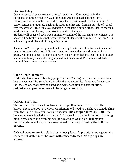#### **Grading Policy**

One unexcused absence from a rehearsal results in a 50% reduction in the Participation grade which is 40% of the total. An unexcused absence from a performance results in the loss of the *entire* Participation grade for that quarter. All performances are required. Each tardy (after the first one) from an outside-of-school day rehearsal will result in a 5% reduction in the Participation grade. 60% of the final grade is based on playing, memorization, and written tests.

Students will be tested each week on memorization of the marching show music. The show will be broken into small segments and students will be re-tested until an A+ is achieved up until the end of the grading period.

There is no "make up" assignment that can be given to substitute for what is learned in a performance situation. *ALL* performances are mandatory and required for a grade. Missing a concert or contest for any reason other than bed-confining illness or last minute family medical emergency will not be excused. Please mark ALL dates as some of them are nearly a year away.

#### **Band / Chair Placement**

Northridge has 2 concert bands (Symphonic and Concert) with personnel determined by achievement. The Symphonic Band is the top ensemble. Placement for January thru the end of school may be based on a winter audition and student effort, dedication, and past performance in learning concert music.

#### **CONCERT ATTIRE:**

The concert attire consists of tuxes for the gentlemen and dresses for the ladies. These are both provided. Gentlemen will need to purchase a tuxedo shirt from the band office after marching season. **The cost per shirt is \$15.00.** The boys must wear black dress shoes and black socks. Anyone for whom obtaining black dress shoes is a problem will be allowed to wear black Drillmaster marching shoes as long as they are cleaned up and approved by the uniform parents.

Girls will need to provide black dress shoes (flats). Appropriate undergarments, that are not visible, must be worn with concert dresses. No flip flops are allowed.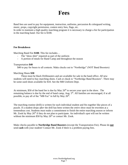## **Fees**

Band fees are used to pay for equipment, instruction, uniforms, percussion & colorguard writing, music, props, copyright permission, contest entry fees, flags, etc.

In order to maintain a high quality marching program it is necessary to charge a fee for participation in the marching band. Our fee is \$100.

#### **Fee Breakdown**

Marching Band Fee **\$100**. This fee includes…

- The "show shirt" required as part of the uniform
- A portion of meals for Band Camp and throughout the season

#### Transportation **\$40**

\$40 to pay for buses to all contests. Make checks out to "Northridge" (NOT Band Boosters)

#### Marching Shoes **\$30**

These must be black Drillmasters and are available for sale in the band office. *All* new students will need to buy marching shoes. Cash or check to "Northridge Band Boosters". There may be some used shoes available for \$10. See the MB Uniform Dept.

At minimum, \$50 of the band fee is due by May  $26<sup>th</sup>$  to secure your spot in the show. The remaining balance is due by the end of band camp, Aug. 5<sup>th</sup>. All families are encouraged, if at all possible, to pay all of the "MB Fee" in full by May  $26<sup>th</sup>$ .

The marching routine (drill) is written for each individual student and fits together like pieces of a puzzle. If a student drops *after* the drill has been written the *entire show* must be rewritten at a tremendous cost. Students *must* make a commitment to finish the entire marching season or inform Mr. Zook by May 26<sup>th</sup> if they do not plan to participate. An individual's spot will not be written without the minimum  $$50$  by May  $26<sup>th</sup>$  or contact Mr. Zook.

Make checks payable to **Northridge Band Boosters** (except the Transportation Fee). Please do **not** send **cash** with your student! Contact Mr. Zook if there is a problem paying fees.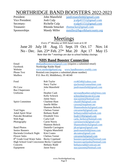## NORTHRIDGE BAND BOOSTERS 2022-2023

President: John Mansfield [jandvmansfield@gmail.com](mailto:jandvmansfield@gmail.com) Vice President: Josh Culp [jculp41151@gmail.com](mailto:jculp41151@gmail.com) Secretary: Richelle Culp [rculp41151@gmail.com](mailto:rculp41151@gmail.com) Treasurer: Rhonda Smucker [rbsmucker@gmail.com](mailto:rbsmucker@gmail.com) Sponsorships Mandy Miller muller@bgcelkhartcounty.org

## **Meetings**

*Every 3rd Monday at NHS band room at 6:30*

June 20 July 18 Aug. 15 Sept. 19 Oct. 17 Nov. 14 No - Dec. Jan. 23\* Feb. 27\* Mar. 20 Apr. 17 May 15 *Note that the \* meetings are due to school holiday closings.*

### **NHS Band Booster Connection**

| Email             |                                                | nhsbandboosters 1 @ gmail.com (requires a submitted email) |  |  |
|-------------------|------------------------------------------------|------------------------------------------------------------|--|--|
| Facebook          | Northridge Raider Band                         |                                                            |  |  |
| Website           |                                                | www.northridgeband.org www.bandboosters.weebly.com         |  |  |
| <b>Phone Text</b> | Remind.com (requires a submitted phone number) |                                                            |  |  |
| Mailbox           | P.O. Box 83, Middlebury, IN 46540              |                                                            |  |  |
| Food              | Rob Taylor<br><b>Stacy Taylor</b>              | rvt $46540@$ yahoo.com<br>sjackson@connselmer.com          |  |  |

|                                                   | <b>Stacy Taylor</b>   | sjackson@connselmer.com      |  |
|---------------------------------------------------|-----------------------|------------------------------|--|
| Pit Crew                                          | John Mansfield        | jandvmansfield@gmail.com     |  |
| <b>Bus Chaperones</b>                             |                       |                              |  |
| Uniforms                                          | <b>Heather Cash</b>   | steveandheathercash@msn.com  |  |
|                                                   | Kelly Schrock         | schrockk@mcsin-k12.org       |  |
|                                                   | Jaime Stacy           | stacyjaime@hotmail.com       |  |
| <b>Spirit Committee</b>                           | <b>Charlene Hunt</b>  | chuntll $18@$ gmail.com      |  |
|                                                   | Janelle Miller        | carson@maplenet.net          |  |
|                                                   | <b>Shannon Bolock</b> | Shannonbolock@gmail.com      |  |
| <b>Yard Signs</b>                                 | Chelsea Varner        | cmvarner 6@gmail.com         |  |
| <b>Adult Spirit Wear</b>                          | <b>Bethany Rudd</b>   | bethanyrudd@outlook.com      |  |
| <b>Pancake Breakfast</b>                          | Elizabeth Vera        | lizah1330@gmail.com          |  |
| Web Page                                          | Carla Gull            | carla_berkey@hotmail.com     |  |
| Photography                                       | Carrie Norris         | carrienorris4@gmail.com      |  |
|                                                   | <b>Shannon Bolock</b> | Shannonbolock@gmail.com      |  |
| <b>Band Photos</b>                                | Danielle Carrington   | jdcarrigton@gmail.com        |  |
| <b>Senior Banners</b>                             | Virginia Mansfield    | jandvmansfield@msn.com       |  |
| Hacienda Giveback Night                           | <b>Kim Coates</b>     | akcoates@gmail.com           |  |
| <b>Flower Sales</b>                               | Chelsea Varner        | cmvarner 6@gmail.com         |  |
| 8 <sup>th</sup> Grade Grad Water Sales            | <b>Becky Copeland</b> | hoosiercopelands@hotmail.com |  |
| <b>High School Grad Concession Becky Copeland</b> |                       | hoosiercopelands@hotmail.com |  |
| Concerts                                          | <b>Bethany Rudd</b>   | bethanyrudd@comcast.net      |  |
| Equipment                                         | <b>Jason Stacy</b>    | stacyjasonm@hotmail.com      |  |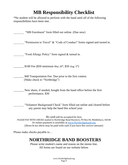## **MB Responsibility Checklist**

\*No student will be allowed to perform with the band until *all* of the following responsibilities have been met.

| "MB Enrolment" form filled out online. (Due now)                                                                                                                                                                                                                                     |
|--------------------------------------------------------------------------------------------------------------------------------------------------------------------------------------------------------------------------------------------------------------------------------------|
| "Permission to Travel" & "Code of Conduct" forms signed and turned in.                                                                                                                                                                                                               |
| "Food Allergy Policy" form signed & turned in.                                                                                                                                                                                                                                       |
| \$100 Fee (\$50 minimum May $26^{\text{th}}$ , \$50 Aug. $5^{\text{th}}$ )                                                                                                                                                                                                           |
| \$40 Transportation Fee. Due prior to the first contest.<br>(Make check to "Northridge")                                                                                                                                                                                             |
| New shoes, if needed, bought from the band office before the first<br>performance. \$30                                                                                                                                                                                              |
| "Volunteer Background Check" form filled out online and cleared before<br>any parent may help the band this school year.                                                                                                                                                             |
| <i>No cash</i> will be accepted for fees.<br><i>PLEASE</i> PAY WITH CHECKS mailed to Northridge Band Boosters, PO Box 83, Middlebury, 46540<br>Or online payment is available at www.Northridgeband.org<br>(Shoes & tux shirts may be paid with cash if you have the correct amount) |
| Please make checks payable to                                                                                                                                                                                                                                                        |
| <b>NORTHRIDGE BAND BOOSTERS</b>                                                                                                                                                                                                                                                      |

Please write student's name and reason on the memo line. All forms are found on our website below.